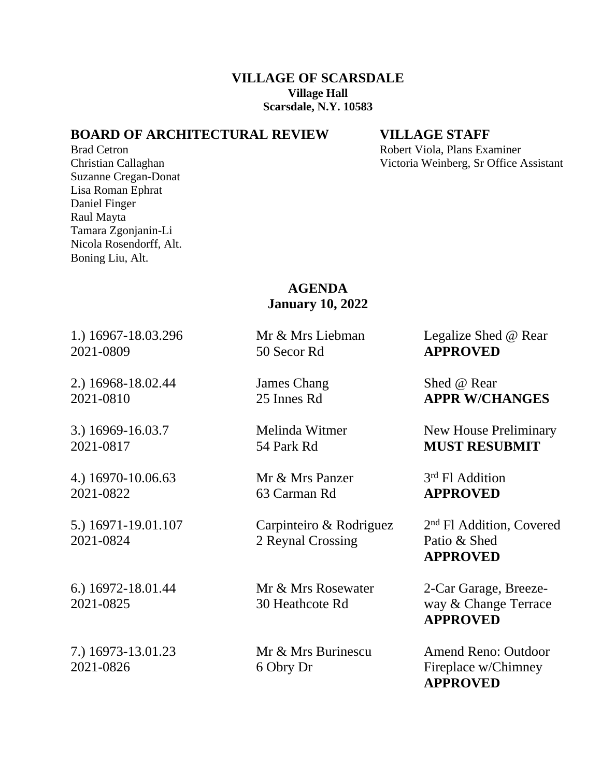## **VILLAGE OF SCARSDALE Village Hall Scarsdale, N.Y. 10583**

## **BOARD OF ARCHITECTURAL REVIEW VILLAGE STAFF**

Suzanne Cregan-Donat Lisa Roman Ephrat Daniel Finger Raul Mayta Tamara Zgonjanin-Li Nicola Rosendorff, Alt. Boning Liu, Alt.

Brad Cetron **Robert Viola, Plans Examiner** Robert Viola, Plans Examiner Christian Callaghan Victoria Weinberg, Sr Office Assistant

## **AGENDA January 10, 2022**

2021-0809 50 Secor Rd **APPROVED**

2.) 16968-18.02.44 James Chang Shed @ Rear

4.) 16970-10.06.63 Mr & Mrs Panzer 3 2021-0822 63 Carman Rd **APPROVED**

5.) 16971-19.01.107 Carpinteiro & Rodriguez 2 2021-0824 2 Reynal Crossing Patio & Shed

1.) 16967**-**18.03.296 Mr & Mrs Liebman Legalize Shed @ Rear

2021-0810 25 Innes Rd **APPR W/CHANGES**

3.) 16969-16.03.7 Melinda Witmer New House Preliminary 2021-0817 54 Park Rd **MUST RESUBMIT**

3<sup>rd</sup> Fl Addition

2<sup>nd</sup> Fl Addition, Covered **APPROVED**

6.) 16972-18.01.44 Mr & Mrs Rosewater 2-Car Garage, Breeze-2021-0825 30 Heathcote Rd way & Change Terrace **APPROVED**

7.) 16973-13.01.23 Mr & Mrs Burinescu Amend Reno: Outdoor 2021-0826 6 Obry Dr Fireplace w/Chimney **APPROVED**